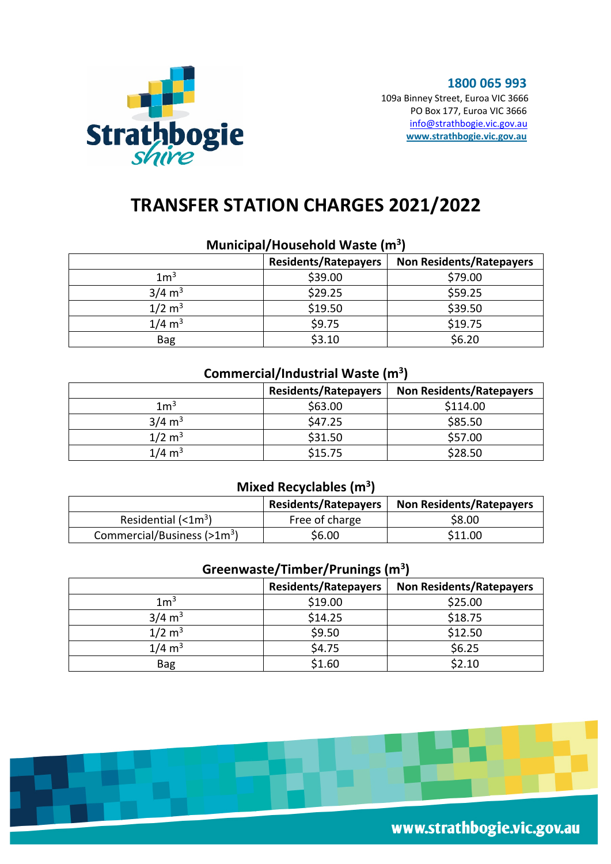

# **TRANSFER STATION CHARGES 2021/2022**

|                   | <b>Residents/Ratepayers</b> | <b>Non Residents/Ratepayers</b> |  |  |
|-------------------|-----------------------------|---------------------------------|--|--|
| 1m <sup>3</sup>   | \$39.00                     | \$79.00                         |  |  |
| $3/4 \text{ m}^3$ | \$29.25                     | \$59.25                         |  |  |
| $1/2 \text{ m}^3$ | \$19.50                     | \$39.50                         |  |  |
| $1/4 \text{ m}^3$ | \$9.75                      | \$19.75                         |  |  |
| <b>Bag</b>        | \$3.10                      | \$6.20                          |  |  |

## **Municipal/Household Waste (m3)**

## **Commercial/Industrial Waste (m3)**

|                   | <b>Residents/Ratepayers</b><br><b>Non Residents/Ratepayers</b> |          |
|-------------------|----------------------------------------------------------------|----------|
| 1 <sup>3</sup>    | \$63.00                                                        | \$114.00 |
| $3/4 \text{ m}^3$ | \$47.25                                                        | \$85.50  |
| $1/2 \text{ m}^3$ | \$31.50                                                        | \$57.00  |
| $1/4 \text{ m}^3$ | \$15.75                                                        | \$28.50  |

### **Mixed Recyclables (m3)**

|                                         | <b>Residents/Ratepayers</b> | <b>Non Residents/Ratepayers</b> |  |
|-----------------------------------------|-----------------------------|---------------------------------|--|
| Residential $(1m^3)$                    | Free of charge              | \$8.00                          |  |
| Commercial/Business (>1m <sup>3</sup> ) | \$6.00                      | \$11.00                         |  |

## **Greenwaste/Timber/Prunings (m3)**

|                   | <b>Residents/Ratepayers</b> | <b>Non Residents/Ratepayers</b> |
|-------------------|-----------------------------|---------------------------------|
| 1 <sup>3</sup>    | \$19.00                     | \$25.00                         |
| $3/4 \text{ m}^3$ | \$14.25                     | \$18.75                         |
| $1/2 \text{ m}^3$ | \$9.50                      | \$12.50                         |
| $1/4 \text{ m}^3$ | \$4.75                      | \$6.25                          |
| <b>Bag</b>        | \$1.60                      | \$2.10                          |